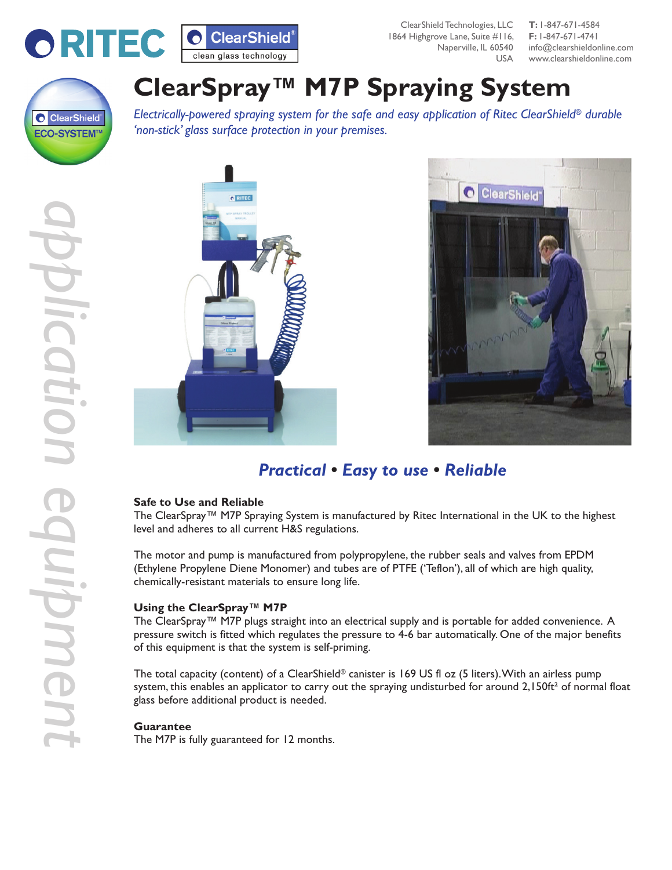

ClearShield Technologies, LLC **T:** 1-847-671-4584 1864 Highgrove Lane, Suite #116, **F:** 1-847-671-4741  $L$ I $S$  $A$ 

Naperville, IL 60540 info@clearshieldonline.com www.clearshieldonline.com



# **ClearSpray™ M7P Spraying System**

*Electrically-powered spraying system for the safe and easy application of Ritec ClearShield® durable 'non-stick' glass surface protection in your premises.*





## *Practical • Easy to use • Reliable*

#### **Safe to Use and Reliable**

The ClearSpray™ M7P Spraying System is manufactured by Ritec International in the UK to the highest level and adheres to all current H&S regulations.

The motor and pump is manufactured from polypropylene, the rubber seals and valves from EPDM (Ethylene Propylene Diene Monomer) and tubes are of PTFE ('Teflon'), all of which are high quality, chemically-resistant materials to ensure long life.

#### **Using the ClearSpray™ M7P**

The ClearSpray™ M7P plugs straight into an electrical supply and is portable for added convenience. A pressure switch is fitted which regulates the pressure to 4-6 bar automatically. One of the major benefits of this equipment is that the system is self-priming.

The total capacity (content) of a ClearShield® canister is 169 US fl oz (5 liters). With an airless pump system, this enables an applicator to carry out the spraying undisturbed for around  $2,150$ ft<sup>2</sup> of normal float glass before additional product is needed.

#### **Guarantee**

The M7P is fully guaranteed for 12 months.